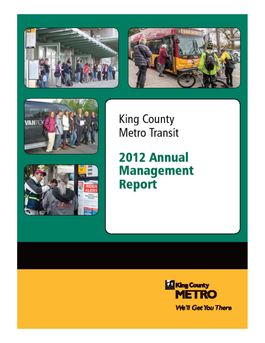







**King County Metro Transit** 

2012 Annual **Management Report** 

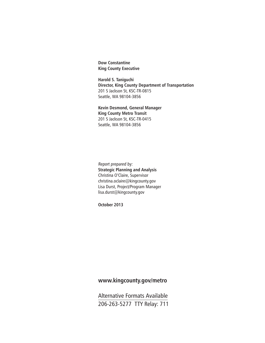**Dow Constantine King County Executive**

**Harold S. Taniguchi Director, King County Department of Transportation** 201 S Jackson St, KSC-TR-0815 Seattle, WA 98104-3856

**Kevin Desmond, General Manager King County Metro Transit** 201 S Jackson St, KSC-TR-0415 Seattle, WA 98104-3856

Report prepared by: **Strategic Planning and Analysis** Christina O'Claire, Supervisor christina.oclaire@kingcounty.gov Lisa Durst, Project/Program Manager lisa.durst@kingcounty.gov

**October 2013**

#### **www.kingcounty.gov/metro**

Alternative Formats Available 206-263-5277 TTY Relay: 711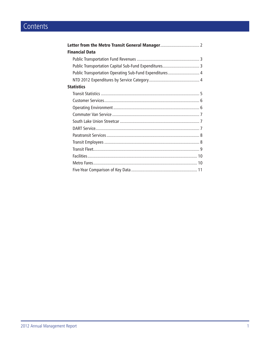# Contents

| <b>Financial Data</b>                                   |  |
|---------------------------------------------------------|--|
|                                                         |  |
| Public Transportation Capital Sub-Fund Expenditures 3   |  |
| Public Transportation Operating Sub-Fund Expenditures 4 |  |
|                                                         |  |
| <b>Statistics</b>                                       |  |
|                                                         |  |
|                                                         |  |
|                                                         |  |
|                                                         |  |
|                                                         |  |
|                                                         |  |
|                                                         |  |
|                                                         |  |
|                                                         |  |
|                                                         |  |
|                                                         |  |
|                                                         |  |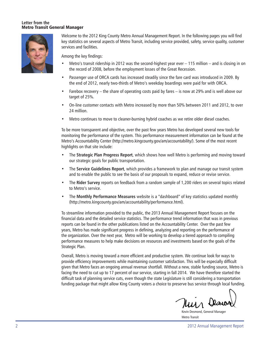#### **Letter from the** Metro Transit General Manager



Welcome to the 2012 King County Metro Annual Management Report. In the following pages you will find key statistics on several aspects of Metro Transit, including service provided, safety, service quality, customer services and facilities.

Among the key findings:

- Metro's transit ridership in 2012 was the second-highest year ever 115 million and is closing in on the record of 2008, before the employment losses of the Great Recession.
- Passenger use of ORCA cards has increased steadily since the fare card was introduced in 2009. By the end of 2012, nearly two-thirds of Metro's weekday boardings were paid for with ORCA.
- Farebox recovery the share of operating costs paid by fares is now at 29% and is well above our target of 25%.
- On-line customer contacts with Metro increased by more than 50% between 2011 and 2012, to over 24 million.
- Metro continues to move to cleaner-burning hybrid coaches as we retire older diesel coaches.

To be more transparent and objective, over the past few years Metro has developed several new tools for monitoring the performance of the system. This performance measurement information can be found at the Metro's Accountability Center (http://metro.kingcounty.gov/am/accountability/). Some of the most recent highlights on that site include:

- The **Strategic Plan Progress Report**, which shows how well Metro is performing and moving toward our strategic goals for public transportation.
- The **Service Guidelines Report**, which provides a framework to plan and manage our transit system and to enable the public to see the basis of our proposals to expand, reduce or revise service.
- The **Rider Survey** reports on feedback from a random sample of 1,200 riders on several topics related to Metro's service.
- The **Monthly Performance Measures** website is a "dashboard" of key statistics updated monthly (http://metro.kingcounty.gov/am/accountability/performance.html).

To streamline information provided to the public, the 2013 Annual Management Report focuses on the financial data and the detailed service statistics. The performance trend information that was in previous reports can be found in the other publications listed on the Accountability Center. Over the past few years, Metro has made significant progress in defining, analyzing and reporting on the performance of the organization. Over the next year, Metro will be working to develop a tiered approach to compiling performance measures to help make decisions on resources and investments based on the goals of the Strategic Plan.

Overall, Metro is moving toward a more efficient and productive system. We continue look for ways to provide efficiency improvements while maintaining customer satisfaction. This will be especially difficult given that Metro faces an ongoing annual revenue shortfall. Without a new, stable funding source, Metro is facing the need to cut up to 17 percent of our service, starting in fall 2014. We have therefore started the difficult task of planning service cuts, even though the state Legislature is still considering a transportation funding package that might allow King County voters a choice to preserve bus service through local funding.

Kevin Desmond, General Manager Metro Transit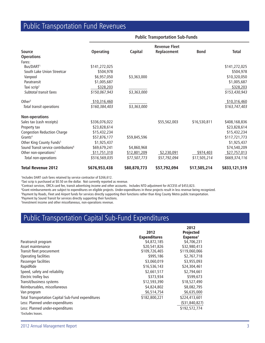### Public Transportation Fund Revenues

|                                                  |                  | <b>Public Transportation Sub-Funds</b> |                      |              |               |
|--------------------------------------------------|------------------|----------------------------------------|----------------------|--------------|---------------|
|                                                  |                  |                                        | <b>Revenue Fleet</b> |              |               |
| <b>Source</b>                                    | <b>Operating</b> | <b>Capital</b>                         | Replacement          | <b>Bond</b>  | <b>Total</b>  |
| <b>Operations</b>                                |                  |                                        |                      |              |               |
| Fares:                                           |                  |                                        |                      |              |               |
| Bus/DART <sup>1</sup>                            | \$141,272,025    |                                        |                      |              | \$141,272,025 |
| South Lake Union Streetcar                       | \$504,978        |                                        |                      |              | \$504,978     |
| Vanpool                                          | \$6,957,050      | \$3,363,000                            |                      |              | \$10,320,050  |
| Paratransit                                      | \$1,005,687      |                                        |                      |              | \$1,005,687   |
| Taxi scrip <sup>2</sup>                          | \$328,203        |                                        |                      |              | \$328,203     |
| Subtotal transit fares                           | \$150,067,943    | \$3,363,000                            |                      |              | \$153,430,943 |
| Other $3$                                        | \$10,316,460     |                                        |                      |              | \$10,316,460  |
| Total transit operations                         | \$160,384,403    | \$3,363,000                            |                      |              | \$163,747,403 |
| <b>Non-operations</b>                            |                  |                                        |                      |              |               |
| Sales tax (cash receipts)                        | \$336,076,022    |                                        | \$55,562,003         | \$16,530,811 | \$408,168,836 |
| Property tax                                     | \$23,828,614     |                                        |                      |              | \$23,828,614  |
| <b>Congestion Reduction Charge</b>               | \$15,432,234     |                                        |                      |              | \$15,432,234  |
| $G$ rants <sup>4</sup>                           | \$57,876,177     | \$59,845,596                           |                      |              | \$117,721,773 |
| Other King County Funds <sup>5</sup>             | \$1,925,437      |                                        |                      |              | \$1,925,437   |
| Sound Transit service contributions <sup>6</sup> | \$69,679,241     | \$4,860,968                            |                      |              | \$74,540,209  |
| Other non-operations <sup>7</sup>                | \$11,751,310     | \$12,801,209                           | \$2,230,091          | \$974,403    | \$27,757,013  |
| Total non-operations                             | \$516,569,035    | \$77,507,773                           | \$57,792,094         | \$17,505,214 | \$669,374,116 |
| <b>Total Revenue 2012</b>                        | \$676,953,438    | \$80,870,773                           | \$57,792,094         | \$17,505,214 | \$833,121,519 |

1 Includes DART cash fares retained by service contractor of \$266,612.

2 Taxi scrip is purchased at \$0.50 on the dollar. Not currently reported as revenue.

3 Contract services, ORCA card fee, transit advertising income and other accounts. Includes NTD adjustment for ACCESS of \$453,823.

4 Grant reimbursements are subject to expenditures on eligible projects. Under-expenditures in these projects result in less revenue being recognized.

5 Payment by Roads, Fleet and Airport funds for services directly supporting their functions rather than King County Metro public transportation.

6 Payment by Sound Transit for services directly supporting their functions.

7 Investment income and other miscellaneous, non-operations revenue.

### Public Transportation Capital Sub-Fund Expenditures

|                                                    |                     | 2012                 |
|----------------------------------------------------|---------------------|----------------------|
|                                                    | 2012                | <b>Projected</b>     |
|                                                    | <b>Expenditures</b> | Expense <sup>1</sup> |
| Paratransit program                                | \$4,872,185         | \$4,706,231          |
| Asset maintenance                                  | \$20,541,826        | \$32,980,413         |
| Transit fleet procurement                          | \$109,726,465       | \$119,060,066        |
| Operating facilities                               | \$995,186           | \$2,767,718          |
| Passenger facilities                               | \$3,060,019         | \$3,955,093          |
| RapidRide                                          | \$16,536,143        | \$24,304,461         |
| Speed, safety and reliability                      | \$2,661,517         | \$2,794,661          |
| Electric trolley bus                               | \$373,934           | \$599,673            |
| Transit/business systems                           | \$12,593,390        | \$18,527,490         |
| Reimbursables, miscellaneous                       | \$4,824,802         | \$8,082,795          |
| Van program                                        | \$6,514,754         | \$6,635,000          |
| Total Transportation Capital Sub-Fund expenditures | \$182,800,221       | \$224,413,601        |
| Less: Planned under-expenditures                   |                     | $($ \$31,840,827)    |
| Less: Planned under-expenditures                   |                     | \$192,572,774        |
| <sup>1</sup> Excludes leases.                      |                     |                      |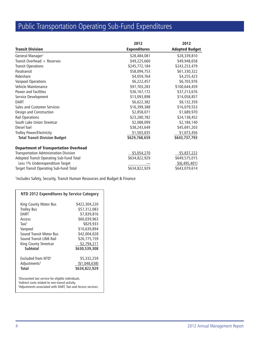# Public Transportation Operating Sub-Fund Expenditures

|                                               | 2012                | 2012                  |
|-----------------------------------------------|---------------------|-----------------------|
| <b>Transit Division</b>                       | <b>Expenditures</b> | <b>Adopted Budget</b> |
| General Manager <sup>1</sup>                  | \$28,484,081        | \$28,339,810          |
| Transit Overhead + Reserves                   | \$49,225,660        | \$49,948,658          |
| <b>Transit Operations</b>                     | \$245,772,184       | \$243,253,479         |
| Paratransit                                   | \$58,094,753        | \$61,330,322          |
| Rideshare                                     | \$4,059,764         | \$4,255,423           |
| <b>Vanpool Operations</b>                     | \$6,222,457         | \$6,703,976           |
| Vehicle Maintenance                           | \$97,703,283        | \$100,644,459         |
| Power and Facilities                          | \$36,167,172        | \$37,213,676          |
| Service Development                           | \$13,093,898        | \$14,058,857          |
| <b>DART</b>                                   | \$6,622,382         | \$8,132,359           |
| Sales and Customer Services                   | \$16,399,388        | \$16,079,553          |
| Design and Construction                       | \$2,858,071         | \$1,689,970           |
| <b>Rail Operations</b>                        | \$23,280,782        | \$24,138,452          |
| South Lake Union Streetcar                    | \$2,088,099         | \$2,184,140           |
| Diesel fuel                                   | \$38,243,649        | \$45,691,203          |
| Trolley Power/Electricity                     | \$1,503,035         | \$1,073,456           |
| <b>Total Transit Division Budget</b>          | \$629,768,659       | \$643,737,793         |
| <b>Department of Transportation Overhead</b>  |                     |                       |
| <b>Transportation Administration Division</b> | \$5,054,270         | \$5,837,222           |
| Adopted Transit Operating Sub-Fund Total      | \$634,822,929       | \$649,575,015         |
| Less 1% Underexpenditure Target               |                     | \$(6,495,401)         |
| Target Transit Operating Sub-Fund Total       | \$634,822,929       | \$643,079,614         |

1 Includes Safety, Security, Transit Human Resources and Budget & Finance

| NTD 2012 Expenditures by Service Category                      |                |  |
|----------------------------------------------------------------|----------------|--|
| King County Motor Bus                                          | \$422,304,220  |  |
| <b>Trolley Bus</b>                                             | \$57,312,083   |  |
| <b>DART</b>                                                    | \$7,839,816    |  |
| Access                                                         | \$60,039,963   |  |
| Taxi <sup>1</sup>                                              | \$829,933      |  |
| Vanpool                                                        | \$10,639,894   |  |
| Sound Transit Motor Bus                                        | \$42,004,028   |  |
| Sound Transit LINK Rail                                        | \$26,775,159   |  |
| King County Streetcar                                          | \$2,794,211    |  |
| <b>Subtotal</b>                                                | \$630,539,308  |  |
| Excluded from NTD <sup>2</sup>                                 | \$5,332,259    |  |
| Adjustments <sup>3</sup>                                       | ( \$1,048,638) |  |
| <b>Total</b>                                                   | \$634,822,929  |  |
| <sup>1</sup> Discounted taxi service for eligible individuals. |                |  |

<sup>2</sup>Indirect costs related to non-transit activity.<br><sup>3</sup>Adjustments associated with DART, Taxi and Access services.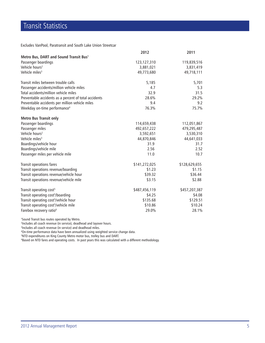## Transit Statistics

Excludes VanPool, Paratransit and South Lake Union Streetcar

|                                                       | 2012          | 2011          |
|-------------------------------------------------------|---------------|---------------|
| Metro Bus, DART and Sound Transit Bus <sup>1</sup>    |               |               |
| Passenger boardings                                   | 123,127,310   | 119,839,516   |
| Vehicle hours <sup>2</sup>                            | 3,881,021     | 3,831,419     |
| Vehicle miles <sup>3</sup>                            | 49,773,680    | 49,718,111    |
| Transit miles between trouble calls                   | 5,185         | 5,701         |
| Passenger accidents/million vehicle miles             | 4.7           | 5.3           |
| Total accidents/million vehicle miles                 | 32.9          | 31.5          |
| Preventable accidents as a percent of total accidents | 28.6%         | 29.2%         |
| Preventable accidents per million vehicle miles       | 9.4           | 9.2           |
| Weekday on-time performance <sup>4</sup>              | 76.3%         | 75.7%         |
| <b>Metro Bus Transit only</b>                         |               |               |
| Passenger boardings                                   | 114,659,438   | 112,051,867   |
| Passenger miles                                       | 492,657,222   | 479,295,487   |
| Vehicle hours <sup>2</sup>                            | 3,592,651     | 3,530,310     |
| Vehicle miles <sup>3</sup>                            | 44,870,846    | 44,641,033    |
| Boardings/vehicle hour                                | 31.9          | 31.7          |
| Boardings/vehicle mile                                | 2.56          | 2.52          |
| Passenger miles per vehicle mile                      | 11.0          | 10.7          |
| Transit operations fares                              | \$141,272,025 | \$128,629,655 |
| Transit operations revenue/boarding                   | \$1.23        | \$1.15        |
| Transit operations revenue/vehicle hour               | \$39.32       | \$36.44       |
| Transit operations revenue/vehicle mile               | \$3.15        | \$2.88        |
| Transit operating cost <sup>5</sup>                   | \$487,456,119 | \$457,207,387 |
| Transit operating cost <sup>5</sup> /boarding         | \$4.25        | \$4.08        |
| Transit operating cost <sup>5</sup> /vehicle hour     | \$135.68      | \$129.51      |
| Transit operating cost <sup>5</sup> /vehicle mile     | \$10.86       | \$10.24       |
| Farebox recovery ratio <sup>6</sup>                   | 29.0%         | 28.1%         |

1 Sound Transit bus routes operated by Metro.

2 Includes all coach revenue (in service), deadhead and layover hours.

3 Includes all coach revenue (in service) and deadhead miles.

4 On-time performance data have been annualized using weighted service change data.

5 NTD expenditures on King County Metro motor bus, trolley bus and DART.

6 Based on NTD fares and operating costs. In past years this was calculated with a different methodology.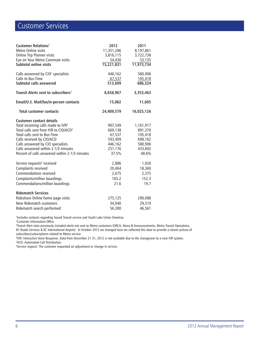## Customer Services

| <b>Customer Relations<sup>1</sup></b><br>Metro Online visits<br>Online Trip Planner visits<br>Eye on Your Metro Commute visits<br><b>Subtotal online visits</b> | 2012<br>11,351,286<br>3,816,115<br>54,430<br>15,221,831 | 2011<br>8,197,861<br>3,722,738<br>53,135<br>11,973,734 |
|-----------------------------------------------------------------------------------------------------------------------------------------------------------------|---------------------------------------------------------|--------------------------------------------------------|
| Calls answered by CIO <sup>2</sup> specialists<br>Calls to Bus-Time<br>Subtotal calls answered                                                                  | 446,162<br>67,537<br>513,699                            | 580,906<br>105,418<br>686,324                          |
| Transit Alerts sent to subscribers <sup>3</sup>                                                                                                                 | 8,658,967                                               | 3,353,463                                              |
| Email/U.S. Mail/fax/in-person contacts                                                                                                                          | 15,082                                                  | 11,605                                                 |
| <b>Total customer contacts</b>                                                                                                                                  | 24,409,579                                              | 16,025,126                                             |
| <b>Customer contact details</b>                                                                                                                                 |                                                         |                                                        |
| Total incoming calls made to IVR <sup>4</sup>                                                                                                                   | 907,549                                                 | 1,161,917                                              |
| Total calls sent from IVR to CIO/ACD <sup>5</sup>                                                                                                               | 669,138                                                 | 891,370                                                |
| Total calls sent to Bus-Time<br>Calls received by CIO/ACD                                                                                                       | 67,537<br>593,409                                       | 105,418<br>698,162                                     |
| Calls answered by CIO specialists                                                                                                                               | 446,162                                                 | 580,906                                                |
| Calls answered within 2-1/3 minutes                                                                                                                             | 251,176                                                 | 433,602                                                |
| Percent of calls answered within 2-1/3 minutes                                                                                                                  | 37.5%                                                   | 48.6%                                                  |
| Service requests <sup>6</sup> received                                                                                                                          | 2,886                                                   | 1,920                                                  |
| Complaints received                                                                                                                                             | 20,464                                                  | 18,360                                                 |
| <b>Commendations received</b>                                                                                                                                   | 2,675                                                   | 2,375                                                  |
| Complaints/million boardings                                                                                                                                    | 165.2                                                   | 152.3                                                  |
| Commendations/million boardings                                                                                                                                 | 21.6                                                    | 19.7                                                   |
| <b>Ridematch Services</b>                                                                                                                                       |                                                         |                                                        |
| Rideshare Online home page visits                                                                                                                               | 275,125                                                 | 290,088                                                |
| New Ridematch customers                                                                                                                                         | 34,040                                                  | 29,319                                                 |
| Ridematch search performed                                                                                                                                      | 56,300                                                  | 46,561                                                 |

1 Includes contacts regarding Sound Transit service and South Lake Union Streetcar.

2 Customer Information Office

3 Transit Alert stats previously included alerts not sent to Metro customers (ORCA, News & Announcements, Metro Transit Operations, KC Roads Services & KC International Airport). In October 2012 we changed how we collected this data to provide a clearer picture of subscribers/subscriptions related to Metro service.

4 IVR: Interactive Voice Response. Data from December 21-31, 2012 is not available due to the changeover to a new IVR system. 5 ACD: Automated Call Distribution.

6 Service request: The customer requested an adjustment or change in service.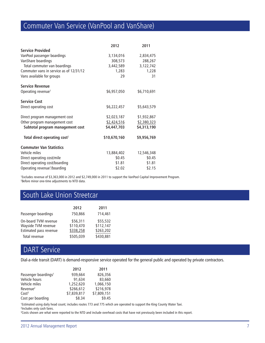# Commuter Van Service (VanPool and VanShare)

|                                          | 2012         | 2011        |
|------------------------------------------|--------------|-------------|
| <b>Service Provided</b>                  |              |             |
| VanPool passenger boardings              | 3,134,016    | 2,834,475   |
| VanShare boardings                       | 308,573      | 288,267     |
| Total commuter van boardings             | 3,442,589    | 3,122,742   |
| Commuter vans in service as of 12/31/12  | 1,283        | 1,228       |
| Vans available for groups                | 29           | 31          |
| <b>Service Revenue</b>                   |              |             |
| Operating revenue <sup>1</sup>           | \$6,957,050  | \$6,710,691 |
| <b>Service Cost</b>                      |              |             |
| Direct operating cost                    | \$6,222,457  | \$5,643,579 |
| Direct program management cost           | \$2,023,187  | \$1,932,867 |
| Other program management cost            | \$2,424,516  | \$2,380,323 |
| Subtotal program management cost         | \$4,447,703  | \$4,313,190 |
| Total direct operating cost <sup>2</sup> | \$10,670,160 | \$9,956,769 |
| <b>Commuter Van Statistics</b>           |              |             |
| Vehicle miles                            | 13,884,402   | 12,546,348  |
| Direct operating cost/mile               | \$0.45       | \$0.45      |
| Direct operating cost/boarding           | \$1.81       | \$1.81      |
| Operating revenue <sup>1</sup> /boarding | \$2.02       | \$2.15      |

1 Excludes revenue of \$3,363,000 in 2012 and \$2,749,000 in 2011 to support the VanPool Capital Improvement Program. 2 Before minor one-time adjustments to NTD data.

### South Lake Union Streetcar

|                                                                       | 2012                               | 2011                               |
|-----------------------------------------------------------------------|------------------------------------|------------------------------------|
| Passenger boardings                                                   | 750,866                            | 714,461                            |
| On-board TVM revenue<br>Wayside TVM revenue<br>Estimated pass revenue | \$56,311<br>\$110,470<br>\$338,258 | \$55,532<br>\$112,147<br>\$263,202 |
| Total revenue                                                         | \$505,039                          | \$430,881                          |

## DART Service

Dial-a-ride transit (DART) is demand-responsive service operated for the general public and operated by private contractors.

|                                  | 2012        | 2011        |
|----------------------------------|-------------|-------------|
| Passenger boardings <sup>1</sup> | 939.664     | 826,356     |
| Vehicle hours                    | 91,634      | 83,660      |
| Vehicle miles                    | 1,252,620   | 1.066.150   |
| Revenue <sup>2</sup>             | \$266,612   | \$216,978   |
| Cost <sup>3</sup>                | \$7,839,817 | \$7,809,151 |
| Cost per boarding                | \$8.34      | \$9.45      |

1 Estimated using daily head count; includes routes 773 and 775 which are operated to support the King County Water Taxi. 2 Includes only cash fares.

3 Costs shown are what were reported to the NTD and include overhead costs that have not previously been included in this report.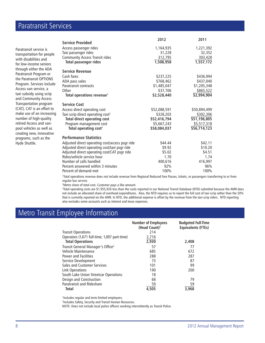### Paratransit Services

Paratransit service is transportation for people with disabilities and for low-income seniors through either the ADA Paratransit Program or the Paratransit OPTIONS Program. Services include Access van service, a taxi subsidy using scrip and Community Access Transportation program (CAT), CAT is an effort to make use of an increasing number of high-quality retired Access and vanpool vehicles as well as creating new, innovative programs, such as the Hyde Shuttle.

|                                                 | 2012         | 2011         |
|-------------------------------------------------|--------------|--------------|
| <b>Service Provided</b>                         |              |              |
| Access passenger rides                          | 1,164,935    | 1,221,392    |
| Taxi passenger rides                            | 31,228       | 32,352       |
| <b>Community Access Transit rides</b>           | 312,795      | 303,428      |
| <b>Total passenger rides</b>                    | 1,508,958    | 1,557,172    |
| <b>Service Revenue</b>                          |              |              |
| Cash fares                                      | \$237,225    | \$436,994    |
| ADA pass sales                                  | \$768,462    | \$437,040    |
| Paratransit contracts                           | \$1,485,047  | \$1,205,348  |
| Other                                           | \$37,706     | \$865,522    |
| Total operations revenue <sup>1</sup>           | \$2,528,440  | \$2,994,904  |
| <b>Service Cost</b>                             |              |              |
| Access direct operating cost                    | \$52,088,591 | \$50,894,499 |
| Taxi scrip direct operating cost <sup>2</sup>   | \$328,203    | \$302,306    |
| <b>Total direct operating cost</b>              | \$52,416,794 | \$51,196,805 |
| Program management cost                         | \$5,667,243  | \$5,517,318  |
| Total operating cost <sup>3</sup>               | \$58,084,037 | \$56,714,123 |
| <b>Performance Statistics</b>                   |              |              |
| Adjusted direct operating cost/access psgr ride | \$44.44      | \$42.11      |
| Adjusted direct operating cost/taxi psgr ride   | \$9.92       | \$10.20      |
| Adjusted direct operating cost/CAT psgr ride    | \$5.02       | \$4.51       |
| Rides/vehicle service hour                      | 1.70         | 1.74         |
| Number of calls handled                         | 400,616      | 416,997      |
| Percent answered within 3 minutes               | 92%          | 96%          |
| Percent of demand met                           | 100%         | 100%         |

1 Total operations revenue does not include revenue from Regional Reduced Fare Passes, tickets, or passengers transferring to or from regular bus service.

2 Metro share of total cost. Customer pays a like amount.

3 Total operating costs are \$1,955,926 less than the costs reported in our National Transit Database (NTD) submittal because the AMR does not include an allocated share of overhead expenditures. Also, the NTD requires us to report the full cost of taxi scrip rather than the 50% that is currently reported on the AMR. In NTD, the additional expense is offset by the revenue from the taxi scrip riders. NTD reporting also excludes some accounts such as interest and lease expenses.

### Metro Transit Employee Information

|                                               | <b>Number of Employees</b><br>(Head Count) <sup>1</sup> | <b>Budgeted Full-Time</b><br><b>Equivalents (FTEs)</b> |
|-----------------------------------------------|---------------------------------------------------------|--------------------------------------------------------|
| <b>Transit Operations</b>                     | 214                                                     |                                                        |
| Operators (1,671 full-time; 1,007 part-time)  | 2,716                                                   |                                                        |
| <b>Total Operations</b>                       | 2,930                                                   | 2,408                                                  |
| Transit General Manager's Office <sup>2</sup> | 57                                                      | 77                                                     |
| Vehicle Maintenance                           | 685                                                     | 672                                                    |
| Power and Facilities                          | 288                                                     | 287                                                    |
| Service Development                           | 73                                                      | 87                                                     |
| Sales and Customer Services                   | 101                                                     | 99                                                     |
| Link Operations                               | 190                                                     | 200                                                    |
| South Lake Union Streetcar Operations         | 18                                                      |                                                        |
| Design and Construction                       | 68                                                      | 79                                                     |
| Paratransit and Rideshare                     | 59                                                      | 59                                                     |
| <b>Total</b>                                  | 4.505                                                   | 3.968                                                  |

1 Includes regular and term-limited employees.

2 Includes Safety, Security and Transit Human Resources.

NOTE: Does not include local police officers working intermittently as Transit Police.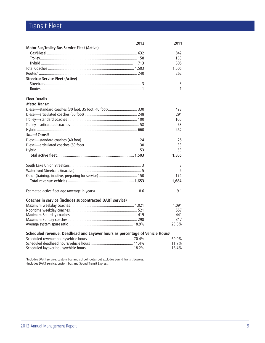## Transit Fleet

| 2012                                                                                      | 2011  |  |  |
|-------------------------------------------------------------------------------------------|-------|--|--|
| Motor Bus/Trolley Bus Service Fleet (Active)                                              |       |  |  |
|                                                                                           | 842   |  |  |
|                                                                                           | 158   |  |  |
|                                                                                           | 505   |  |  |
|                                                                                           | 1,505 |  |  |
|                                                                                           | 262   |  |  |
| <b>Streetcar Service Fleet (Active)</b>                                                   |       |  |  |
|                                                                                           | 3     |  |  |
|                                                                                           | 1     |  |  |
| <b>Fleet Details</b>                                                                      |       |  |  |
| <b>Metro Transit</b>                                                                      |       |  |  |
| Diesel-standard coaches (30 foot, 35 foot, 40 foot) 330                                   | 493   |  |  |
|                                                                                           | 291   |  |  |
|                                                                                           | 100   |  |  |
|                                                                                           | 58    |  |  |
|                                                                                           | 452   |  |  |
| <b>Sound Transit</b>                                                                      |       |  |  |
|                                                                                           | 25    |  |  |
|                                                                                           | 33    |  |  |
|                                                                                           | 53    |  |  |
|                                                                                           | 1,505 |  |  |
|                                                                                           |       |  |  |
|                                                                                           | 3     |  |  |
|                                                                                           | 5     |  |  |
|                                                                                           | 174   |  |  |
|                                                                                           | 1,684 |  |  |
|                                                                                           | 9.1   |  |  |
| Coaches in service (includes subcontracted DART service)                                  |       |  |  |
|                                                                                           | 1,091 |  |  |
|                                                                                           | 557   |  |  |
|                                                                                           | 441   |  |  |
|                                                                                           | 317   |  |  |
|                                                                                           | 23.5% |  |  |
| Scheduled revenue, Deadhead and Layover hours as percentage of Vehicle Hours <sup>2</sup> |       |  |  |
|                                                                                           | 69.9% |  |  |
|                                                                                           | 11.7% |  |  |
|                                                                                           | 18.4% |  |  |

1 Includes DART service, custom bus and school routes but excludes Sound Transit Express. 2 Includes DART service, custom bus and Sound Transit Express.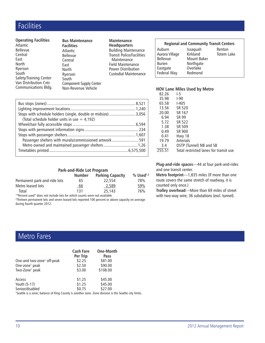### **Facilities**

#### **Operating Facilities**

| <b>Atlantic</b>        |
|------------------------|
| <b>Bellevue</b>        |
| Central                |
| East                   |
| North                  |
| Ryerson                |
| South                  |
| Safety/Training Center |
| Van Distribution Cntr. |
| Communications Bldg.   |

#### **Bus Maintenance Facilities** Atlantic Bellevue **Central** East North Ryerson **South** Component Supply Center

Non-Revenue Vehicle

**Maintenance Headquarters**

Building Maintenance Transit Police/Facilities Maintenance Field Maintenance Power Distribution Custodial Maintenance

| Stops with schedule holders (single, double or midsize) 3,056 |  |
|---------------------------------------------------------------|--|
| (Total schedule holder units in use $=$ 4,192)                |  |
|                                                               |  |
|                                                               |  |
|                                                               |  |
| Passenger shelters with murals/commissioned artwork591        |  |
|                                                               |  |
|                                                               |  |

#### **Park-and-Ride Lot Program**

|                              | <b>Number</b> | <b>Parking Capacity</b> | $%$ Used <sup>1,2</sup> |
|------------------------------|---------------|-------------------------|-------------------------|
| Permanent park-and-ride lots | 65            | 22.554                  | 78%                     |
| Metro leased lots            | <u>66</u>     | 2,589                   | 59%                     |
| Total                        | 131           | 25,143                  | 76%                     |

1 "Percent used" does not include lots for which counts were not available. 2 Thirteen permanent lots and seven leased lots reported 100 percent or above capacity on average

during fourth quarter 2012.

#### **Regional and Community Transit Centers** Auburn Issaquah Renton

| Totem Lake |
|------------|
|            |
|            |
|            |
|            |
|            |

#### **HOV Lane Miles Used by Metro**

| 82.26  | I-5                                    |
|--------|----------------------------------------|
| 35.98  | I-90                                   |
| 65.58  | <b>I-405</b>                           |
| 13.56  | SR 520                                 |
| 20.00  | SR 167                                 |
| 6.94   | SR 99                                  |
| 5.72   | SR 522                                 |
| 1.38   | SR 509                                 |
| 0.49   | SR 900                                 |
| 0.41   | Hwy 18                                 |
| 19.79  | <b>Arterials</b>                       |
| 3.4    | DSTP (Tunnel) NB and SB                |
| 255.51 | Total restricted lanes for transit use |

**Plug-and-ride spaces**—44 at four park-and-rides and one transit center.

**Metro footprint**—1,835 miles (If more than one route covers the same stretch of roadway, it is counted only once.)

**Trolley overhead**—More than 69 miles of street with two-way wire; 36 substations (excl. tunnel).

#### Metro Fares

|                                                                                                                   | <b>Cash Fare</b><br>Per Trip | <b>One-Month</b><br>Pass |  |  |
|-------------------------------------------------------------------------------------------------------------------|------------------------------|--------------------------|--|--|
| One-and two-zone <sup>1</sup> off-peak                                                                            | \$2.25                       | \$81.00                  |  |  |
| One-zone <sup>1</sup> peak                                                                                        | \$2.50                       | \$90.00                  |  |  |
| Two-Zone <sup>1</sup> peak                                                                                        | \$3.00                       | \$108.00                 |  |  |
| Access                                                                                                            | \$1.25                       | \$45.00                  |  |  |
| Youth (5-17)                                                                                                      | \$1.25                       | \$45.00                  |  |  |
| Senior/disabled                                                                                                   | \$0.75                       | \$27.00                  |  |  |
| <sup>1</sup> Seattle is a zone; balance of King County is another zone. Zone division is the Seattle city limits. |                              |                          |  |  |